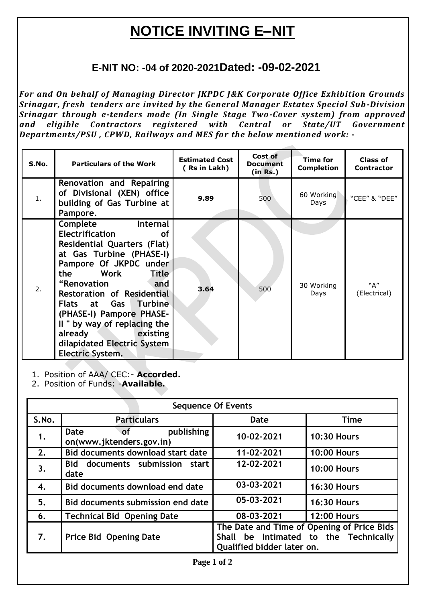# **NOTICE INVITING E–NIT**

## **E-NIT NO: -04 of 2020-2021Dated: -09-02-2021**

*For and On behalf of Managing Director JKPDC J&K Corporate Office Exhibition Grounds Srinagar, fresh tenders are invited by the General Manager Estates Special Sub-Division Srinagar through e-tenders mode (In Single Stage Two-Cover system) from approved and eligible Contractors registered with Central or State/UT Government Departments/PSU , CPWD, Railways and MES for the below mentioned work: -*

| S.No. | <b>Particulars of the Work</b>                                                                                                                                                                                                                                                                                                                                                                                                | <b>Estimated Cost</b><br>(Rs in Lakh) | Cost of<br><b>Document</b><br>(in Rs.) | <b>Time for</b><br><b>Completion</b> | <b>Class of</b><br><b>Contractor</b> |
|-------|-------------------------------------------------------------------------------------------------------------------------------------------------------------------------------------------------------------------------------------------------------------------------------------------------------------------------------------------------------------------------------------------------------------------------------|---------------------------------------|----------------------------------------|--------------------------------------|--------------------------------------|
| 1.    | Renovation and Repairing<br>of Divisional (XEN) office<br>building of Gas Turbine at<br>Pampore.                                                                                                                                                                                                                                                                                                                              | 9.89                                  | 500                                    | 60 Working<br>Days                   | "CEE" & "DEE"                        |
| 2.    | Complete<br><b>Internal</b><br><b>Electrification</b><br><b>of</b><br><b>Residential Quarters (Flat)</b><br>at Gas Turbine (PHASE-I)<br>Pampore Of JKPDC under<br>Work<br>the<br><b>Title</b><br>"Renovation<br>and<br><b>Restoration of Residential</b><br>Flats at Gas Turbine<br>(PHASE-I) Pampore PHASE-<br>II " by way of replacing the<br><b>Existing</b><br>already<br>dilapidated Electric System<br>Electric System. | 3.64                                  | 500                                    | 30 Working<br>Days                   | "A"<br>(Electrical)                  |

1. Position of AAA/ CEC:- **Accorded.**

2. Position of Funds: -**Available.**

| <b>Sequence Of Events</b> |                                                       |                            |                                                                                     |  |  |  |
|---------------------------|-------------------------------------------------------|----------------------------|-------------------------------------------------------------------------------------|--|--|--|
| S.No.                     | <b>Particulars</b>                                    | Date                       | <b>Time</b>                                                                         |  |  |  |
| 1.                        | publishing<br>Date<br>∖of<br>on(www.jktenders.gov.in) | 10-02-2021                 | <b>10:30 Hours</b>                                                                  |  |  |  |
| 2.                        | Bid documents download start date                     | 11-02-2021                 | <b>10:00 Hours</b>                                                                  |  |  |  |
| 3.                        | documents submission<br>Bid<br>start<br>date          | 12-02-2021                 | <b>10:00 Hours</b>                                                                  |  |  |  |
| 4.                        | Bid documents download end date                       | 03-03-2021                 | <b>16:30 Hours</b>                                                                  |  |  |  |
| 5.                        | Bid documents submission end date                     | 05-03-2021                 | <b>16:30 Hours</b>                                                                  |  |  |  |
| 6.                        | <b>Technical Bid Opening Date</b>                     | 08-03-2021                 | <b>12:00 Hours</b>                                                                  |  |  |  |
| 7.                        | <b>Price Bid Opening Date</b>                         | Qualified bidder later on. | The Date and Time of Opening of Price Bids<br>Shall be Intimated to the Technically |  |  |  |